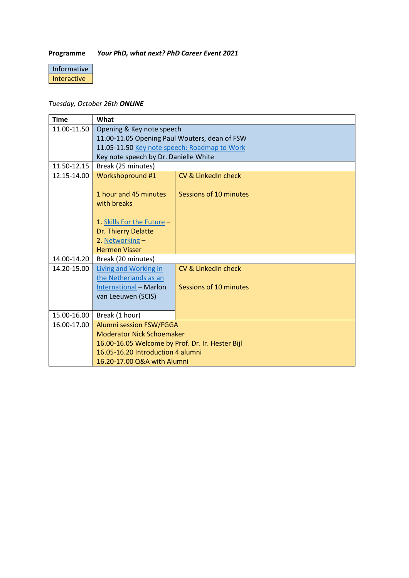## **Programme** *Your PhD, what next? PhD Career Event 2021*

## Informative Interactive

## *Tuesday, October 26th ONLINE*

| <b>Time</b> | What                                             |                        |  |
|-------------|--------------------------------------------------|------------------------|--|
| 11.00-11.50 | Opening & Key note speech                        |                        |  |
|             | 11.00-11.05 Opening Paul Wouters, dean of FSW    |                        |  |
|             | 11.05-11.50 Key note speech: Roadmap to Work     |                        |  |
|             | Key note speech by Dr. Danielle White            |                        |  |
| 11.50-12.15 | Break (25 minutes)                               |                        |  |
| 12.15-14.00 | Workshopround #1                                 | CV & LinkedIn check    |  |
|             | 1 hour and 45 minutes<br>with breaks             | Sessions of 10 minutes |  |
|             | 1. Skills For the Future -                       |                        |  |
|             | Dr. Thierry Delatte                              |                        |  |
|             | 2. Networking -                                  |                        |  |
|             | <b>Hermen Visser</b>                             |                        |  |
| 14.00-14.20 | Break (20 minutes)                               |                        |  |
| 14.20-15.00 | <b>Living and Working in</b>                     | CV & LinkedIn check    |  |
|             | the Netherlands as an                            |                        |  |
|             | <b>International - Marlon</b>                    | Sessions of 10 minutes |  |
|             | van Leeuwen (SCIS)                               |                        |  |
|             |                                                  |                        |  |
| 15.00-16.00 | Break (1 hour)                                   |                        |  |
| 16.00-17.00 | Alumni session FSW/FGGA                          |                        |  |
|             | <b>Moderator Nick Schoemaker</b>                 |                        |  |
|             | 16.00-16.05 Welcome by Prof. Dr. Ir. Hester Bijl |                        |  |
|             | 16.05-16.20 Introduction 4 alumni                |                        |  |
|             | 16.20-17.00 Q&A with Alumni                      |                        |  |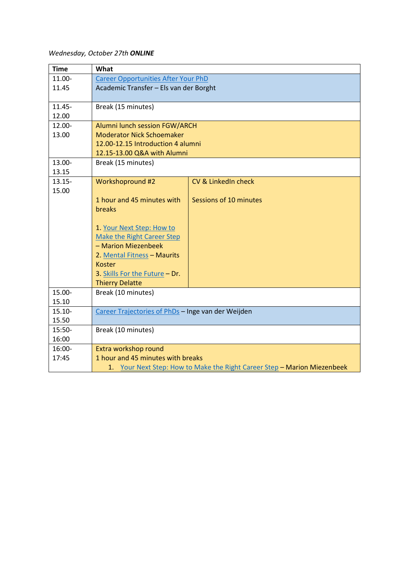## *Wednesday, October 27th ONLINE*

| <b>Time</b> | What                                                                     |                        |  |  |  |
|-------------|--------------------------------------------------------------------------|------------------------|--|--|--|
| 11.00-      | <b>Career Opportunities After Your PhD</b>                               |                        |  |  |  |
| 11.45       | Academic Transfer - Els van der Borght                                   |                        |  |  |  |
|             |                                                                          |                        |  |  |  |
| $11.45 -$   | Break (15 minutes)                                                       |                        |  |  |  |
| 12.00       |                                                                          |                        |  |  |  |
| 12.00-      | Alumni lunch session FGW/ARCH                                            |                        |  |  |  |
| 13.00       | <b>Moderator Nick Schoemaker</b>                                         |                        |  |  |  |
|             | 12.00-12.15 Introduction 4 alumni                                        |                        |  |  |  |
|             | 12.15-13.00 Q&A with Alumni                                              |                        |  |  |  |
| 13.00-      | Break (15 minutes)                                                       |                        |  |  |  |
| 13.15       |                                                                          |                        |  |  |  |
| $13.15 -$   | Workshopround #2                                                         | CV & LinkedIn check    |  |  |  |
| 15.00       |                                                                          |                        |  |  |  |
|             | 1 hour and 45 minutes with                                               | Sessions of 10 minutes |  |  |  |
|             | <b>breaks</b>                                                            |                        |  |  |  |
|             | 1. Your Next Step: How to                                                |                        |  |  |  |
|             | <b>Make the Right Career Step</b>                                        |                        |  |  |  |
|             | - Marion Miezenbeek                                                      |                        |  |  |  |
|             | 2. Mental Fitness - Maurits                                              |                        |  |  |  |
|             | <b>Koster</b>                                                            |                        |  |  |  |
|             | 3. Skills For the Future - Dr.                                           |                        |  |  |  |
|             | <b>Thierry Delatte</b>                                                   |                        |  |  |  |
| 15.00-      | Break (10 minutes)                                                       |                        |  |  |  |
| 15.10       |                                                                          |                        |  |  |  |
| $15.10 -$   | Career Trajectories of PhDs - Inge van der Weijden                       |                        |  |  |  |
| 15.50       |                                                                          |                        |  |  |  |
| 15:50-      | Break (10 minutes)                                                       |                        |  |  |  |
| 16:00       |                                                                          |                        |  |  |  |
| 16:00-      | Extra workshop round                                                     |                        |  |  |  |
| 17:45       | 1 hour and 45 minutes with breaks                                        |                        |  |  |  |
|             | 1. Your Next Step: How to Make the Right Career Step - Marion Miezenbeek |                        |  |  |  |